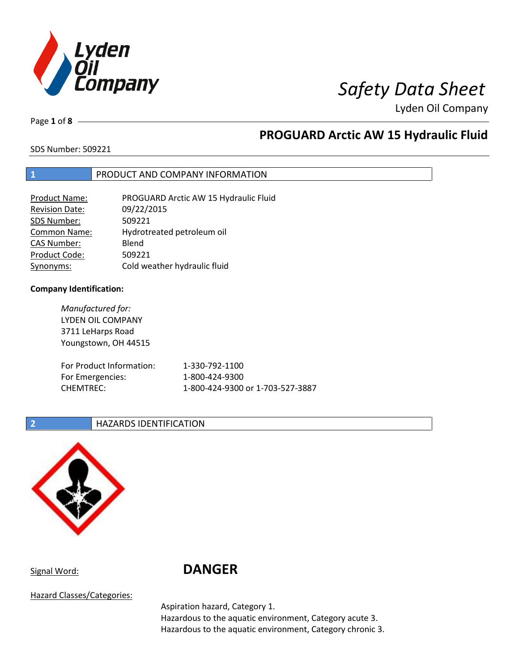

Page **1** of **8**

## **PROGUARD Arctic AW 15 Hydraulic Fluid**

SDS Number: 509221

### **1** PRODUCT AND COMPANY INFORMATION

| <b>Product Name:</b>  | PROGUARD Arctic AW 15 Hydraulic Fluid |
|-----------------------|---------------------------------------|
| <b>Revision Date:</b> | 09/22/2015                            |
| SDS Number:           | 509221                                |
| <b>Common Name:</b>   | Hydrotreated petroleum oil            |
| <b>CAS Number:</b>    | Blend                                 |
| Product Code:         | 509221                                |
| Synonyms:             | Cold weather hydraulic fluid          |

### **Company Identification:**

*Manufactured for:* LYDEN OIL COMPANY 3711 LeHarps Road Youngstown, OH 44515 For Product Information: 1-330-792-1100 For Emergencies: 1-800-424-9300 CHEMTREC: 1-800-424-9300 or 1-703-527-3887

### **2 HAZARDS IDENTIFICATION**



# Signal Word: **DANGER**

Hazard Classes/Categories:

Aspiration hazard, Category 1.

Hazardous to the aquatic environment, Category acute 3. Hazardous to the aquatic environment, Category chronic 3.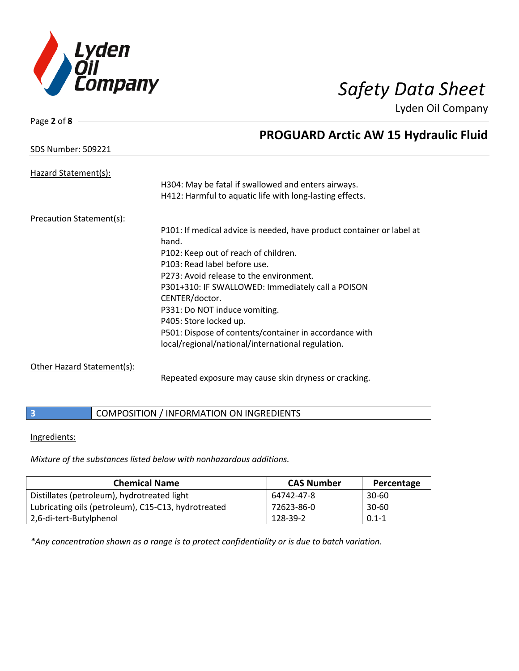

| Page 2 of 8                     |                                                                       |
|---------------------------------|-----------------------------------------------------------------------|
|                                 | <b>PROGUARD Arctic AW 15 Hydraulic Fluid</b>                          |
| <b>SDS Number: 509221</b>       |                                                                       |
| Hazard Statement(s):            |                                                                       |
|                                 | H304: May be fatal if swallowed and enters airways.                   |
|                                 | H412: Harmful to aquatic life with long-lasting effects.              |
| <b>Precaution Statement(s):</b> |                                                                       |
|                                 | P101: If medical advice is needed, have product container or label at |
|                                 | hand.                                                                 |
|                                 | P102: Keep out of reach of children.                                  |
|                                 | P103: Read label before use.                                          |
|                                 | P273: Avoid release to the environment.                               |
|                                 | P301+310: IF SWALLOWED: Immediately call a POISON                     |
|                                 | CENTER/doctor.                                                        |
|                                 | P331: Do NOT induce vomiting.                                         |
|                                 | P405: Store locked up.                                                |
|                                 | P501: Dispose of contents/container in accordance with                |
|                                 | local/regional/national/international regulation.                     |

### Other Hazard Statement(s):

Repeated exposure may cause skin dryness or cracking.

**3 COMPOSITION / INFORMATION ON INGREDIENTS** 

### Ingredients:

*Mixture of the substances listed below with nonhazardous additions.*

| <b>Chemical Name</b>                                | <b>CAS Number</b> | Percentage |
|-----------------------------------------------------|-------------------|------------|
| Distillates (petroleum), hydrotreated light         | 64742-47-8        | $30 - 60$  |
| Lubricating oils (petroleum), C15-C13, hydrotreated | 72623-86-0        | $30 - 60$  |
| 2,6-di-tert-Butylphenol                             | 128-39-2          | $0.1 - 1$  |

*\*Any concentration shown as a range is to protect confidentiality or is due to batch variation.*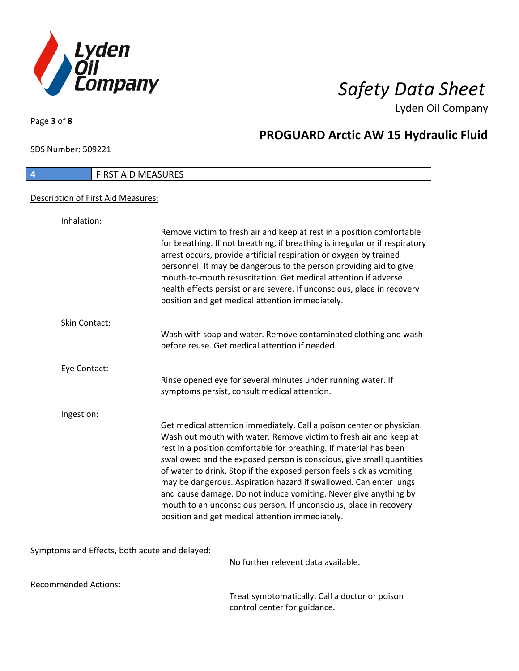

Page **3** of **8**

# **PROGUARD Arctic AW 15 Hydraulic Fluid**

SDS Number: 509221

| <b>FIRST AID MEASURES</b><br>4     |                                                                                                                                                                                                                                                                                                                                                                                                                                                                                                                                                                                                                                   |  |
|------------------------------------|-----------------------------------------------------------------------------------------------------------------------------------------------------------------------------------------------------------------------------------------------------------------------------------------------------------------------------------------------------------------------------------------------------------------------------------------------------------------------------------------------------------------------------------------------------------------------------------------------------------------------------------|--|
| Description of First Aid Measures: |                                                                                                                                                                                                                                                                                                                                                                                                                                                                                                                                                                                                                                   |  |
| Inhalation:                        | Remove victim to fresh air and keep at rest in a position comfortable<br>for breathing. If not breathing, if breathing is irregular or if respiratory                                                                                                                                                                                                                                                                                                                                                                                                                                                                             |  |
|                                    | arrest occurs, provide artificial respiration or oxygen by trained<br>personnel. It may be dangerous to the person providing aid to give<br>mouth-to-mouth resuscitation. Get medical attention if adverse<br>health effects persist or are severe. If unconscious, place in recovery<br>position and get medical attention immediately.                                                                                                                                                                                                                                                                                          |  |
| <b>Skin Contact:</b>               | Wash with soap and water. Remove contaminated clothing and wash<br>before reuse. Get medical attention if needed.                                                                                                                                                                                                                                                                                                                                                                                                                                                                                                                 |  |
| Eye Contact:                       | Rinse opened eye for several minutes under running water. If<br>symptoms persist, consult medical attention.                                                                                                                                                                                                                                                                                                                                                                                                                                                                                                                      |  |
| Ingestion:                         |                                                                                                                                                                                                                                                                                                                                                                                                                                                                                                                                                                                                                                   |  |
|                                    | Get medical attention immediately. Call a poison center or physician.<br>Wash out mouth with water. Remove victim to fresh air and keep at<br>rest in a position comfortable for breathing. If material has been<br>swallowed and the exposed person is conscious, give small quantities<br>of water to drink. Stop if the exposed person feels sick as vomiting<br>may be dangerous. Aspiration hazard if swallowed. Can enter lungs<br>and cause damage. Do not induce vomiting. Never give anything by<br>mouth to an unconscious person. If unconscious, place in recovery<br>position and get medical attention immediately. |  |

### Symptoms and Effects, both acute and delayed:

No further relevent data available.

Recommended Actions:

Treat symptomatically. Call a doctor or poison control center for guidance.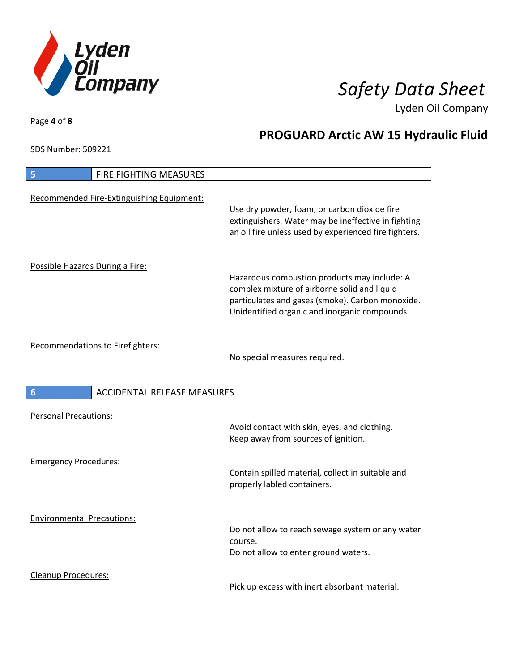

**PROGUARD Arctic AW 15 Hydraulic Fluid**

Lyden Oil Company

SDS Number: 509221

| FIRE FIGHTING MEASURES<br>5               |                                                                                                                                                                                                   |
|-------------------------------------------|---------------------------------------------------------------------------------------------------------------------------------------------------------------------------------------------------|
| Recommended Fire-Extinguishing Equipment: | Use dry powder, foam, or carbon dioxide fire<br>extinguishers. Water may be ineffective in fighting<br>an oil fire unless used by experienced fire fighters.                                      |
| Possible Hazards During a Fire:           | Hazardous combustion products may include: A<br>complex mixture of airborne solid and liquid<br>particulates and gases (smoke). Carbon monoxide.<br>Unidentified organic and inorganic compounds. |
| Recommendations to Firefighters:          | No special measures required.                                                                                                                                                                     |
| <b>ACCIDENTAL RELEASE MEASURES</b><br>6   |                                                                                                                                                                                                   |
| <b>Personal Precautions:</b>              | Avoid contact with skin, eyes, and clothing.<br>Keep away from sources of ignition.                                                                                                               |
| <b>Emergency Procedures:</b>              | Contain spilled material, collect in suitable and<br>properly labled containers.                                                                                                                  |
| <b>Environmental Precautions:</b>         | Do not allow to reach sewage system or any water<br>course.<br>Do not allow to enter ground waters.                                                                                               |
| Cleanup Procedures:                       | Pick up excess with inert absorbant material.                                                                                                                                                     |

Page **4** of **8**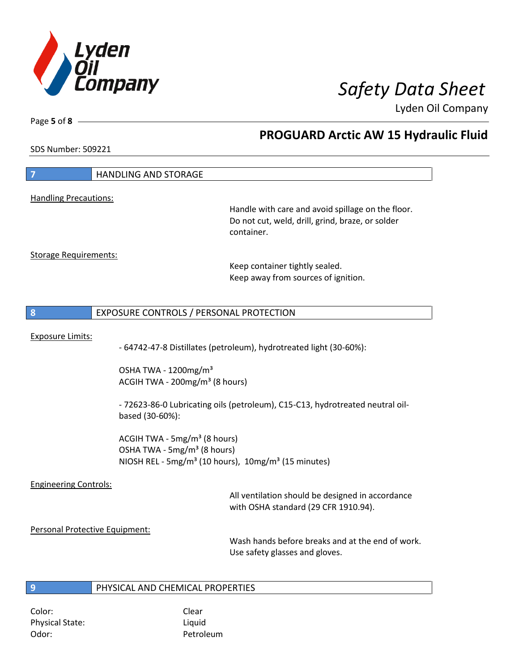

Odor: Petroleum

Lyden Oil Company

Page **5** of **8**

# **PROGUARD Arctic AW 15 Hydraulic Fluid**

SDS Number: 509221

| $\overline{7}$                                                                                | <b>HANDLING AND STORAGE</b>                                                                                                                                        |                                                                                                                     |
|-----------------------------------------------------------------------------------------------|--------------------------------------------------------------------------------------------------------------------------------------------------------------------|---------------------------------------------------------------------------------------------------------------------|
| <b>Handling Precautions:</b>                                                                  |                                                                                                                                                                    |                                                                                                                     |
|                                                                                               |                                                                                                                                                                    | Handle with care and avoid spillage on the floor.<br>Do not cut, weld, drill, grind, braze, or solder<br>container. |
| <b>Storage Requirements:</b>                                                                  |                                                                                                                                                                    | Keep container tightly sealed.<br>Keep away from sources of ignition.                                               |
| 8                                                                                             | EXPOSURE CONTROLS / PERSONAL PROTECTION                                                                                                                            |                                                                                                                     |
| <b>Exposure Limits:</b><br>- 64742-47-8 Distillates (petroleum), hydrotreated light (30-60%): |                                                                                                                                                                    |                                                                                                                     |
|                                                                                               | OSHA TWA - 1200mg/m <sup>3</sup><br>ACGIH TWA - 200mg/m <sup>3</sup> (8 hours)                                                                                     |                                                                                                                     |
|                                                                                               | based (30-60%):                                                                                                                                                    | - 72623-86-0 Lubricating oils (petroleum), C15-C13, hydrotreated neutral oil-                                       |
|                                                                                               | ACGIH TWA - 5mg/m <sup>3</sup> (8 hours)<br>OSHA TWA - 5mg/m <sup>3</sup> (8 hours)<br>NIOSH REL - 5mg/m <sup>3</sup> (10 hours), 10mg/m <sup>3</sup> (15 minutes) |                                                                                                                     |
| <b>Engineering Controls:</b>                                                                  |                                                                                                                                                                    | All ventilation should be designed in accordance<br>with OSHA standard (29 CFR 1910.94).                            |
| Personal Protective Equipment:                                                                |                                                                                                                                                                    | Wash hands before breaks and at the end of work.<br>Use safety glasses and gloves.                                  |
| $\overline{9}$                                                                                | PHYSICAL AND CHEMICAL PROPERTIES                                                                                                                                   |                                                                                                                     |
| Color:<br><b>Physical State:</b>                                                              | Clear<br>Liquid                                                                                                                                                    |                                                                                                                     |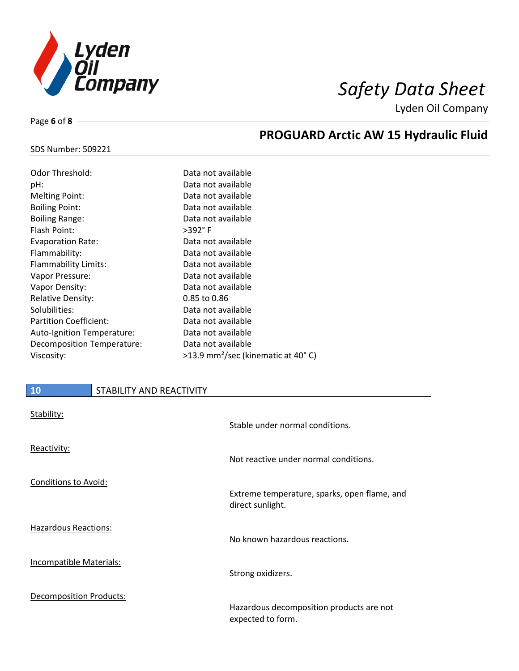

**PROGUARD Arctic AW 15 Hydraulic Fluid**

Lyden Oil Company

### SDS Number: 509221

Page **6** of **8**

| Odor Threshold:               | Data not available                               |
|-------------------------------|--------------------------------------------------|
| pH:                           | Data not available                               |
| <b>Melting Point:</b>         | Data not available                               |
| <b>Boiling Point:</b>         | Data not available                               |
| <b>Boiling Range:</b>         | Data not available                               |
| Flash Point:                  | >392°F                                           |
| <b>Evaporation Rate:</b>      | Data not available                               |
| Flammability:                 | Data not available                               |
| <b>Flammability Limits:</b>   | Data not available                               |
| Vapor Pressure:               | Data not available                               |
| Vapor Density:                | Data not available                               |
| <b>Relative Density:</b>      | $0.85$ to $0.86$                                 |
| Solubilities:                 | Data not available                               |
| <b>Partition Coefficient:</b> | Data not available                               |
| Auto-Ignition Temperature:    | Data not available                               |
| Decomposition Temperature:    | Data not available                               |
| Viscosity:                    | $>13.9$ mm <sup>2</sup> /sec (kinematic at 40°C) |

| 10                             | STABILITY AND REACTIVITY |                                                                  |
|--------------------------------|--------------------------|------------------------------------------------------------------|
| Stability:                     |                          | Stable under normal conditions.                                  |
| Reactivity:                    |                          | Not reactive under normal conditions.                            |
| <b>Conditions to Avoid:</b>    |                          | Extreme temperature, sparks, open flame, and<br>direct sunlight. |
| <b>Hazardous Reactions:</b>    |                          | No known hazardous reactions.                                    |
| <b>Incompatible Materials:</b> |                          | Strong oxidizers.                                                |
| <b>Decomposition Products:</b> |                          | Hazardous decomposition products are not<br>expected to form.    |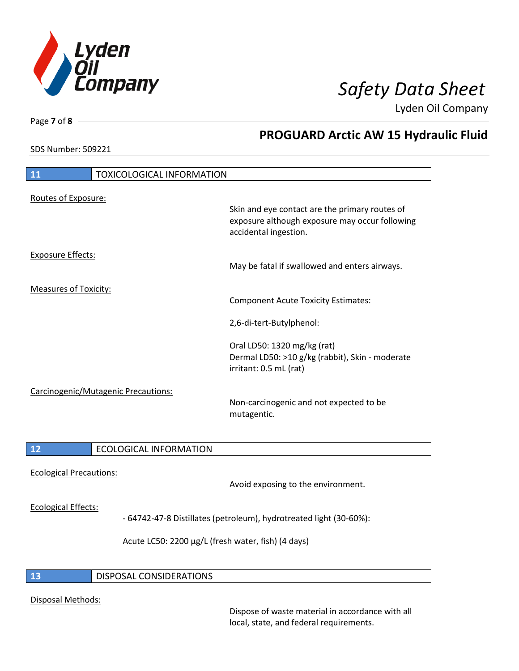

SDS Number: 509221

Page **7** of **8**

# **PROGUARD Arctic AW 15 Hydraulic Fluid**

| 11                                  | <b>TOXICOLOGICAL INFORMATION</b> |                                                                                                                           |
|-------------------------------------|----------------------------------|---------------------------------------------------------------------------------------------------------------------------|
| Routes of Exposure:                 |                                  |                                                                                                                           |
|                                     |                                  | Skin and eye contact are the primary routes of<br>exposure although exposure may occur following<br>accidental ingestion. |
| <b>Exposure Effects:</b>            |                                  | May be fatal if swallowed and enters airways.                                                                             |
| <b>Measures of Toxicity:</b>        |                                  | <b>Component Acute Toxicity Estimates:</b>                                                                                |
|                                     |                                  | 2,6-di-tert-Butylphenol:                                                                                                  |
|                                     |                                  | Oral LD50: 1320 mg/kg (rat)<br>Dermal LD50: >10 g/kg (rabbit), Skin - moderate<br>irritant: 0.5 mL (rat)                  |
| Carcinogenic/Mutagenic Precautions: |                                  | Non-carcinogenic and not expected to be<br>mutagentic.                                                                    |
| 12                                  | <b>ECOLOGICAL INFORMATION</b>    |                                                                                                                           |
| <b>Ecological Precautions:</b>      |                                  | Avoid exposing to the environment.                                                                                        |

### Ecological Effects:

I

- 64742-47-8 Distillates (petroleum), hydrotreated light (30-60%):

Acute LC50: 2200 µg/L (fresh water, fish) (4 days)

### **13** DISPOSAL CONSIDERATIONS

### Disposal Methods:

Dispose of waste material in accordance with all local, state, and federal requirements.